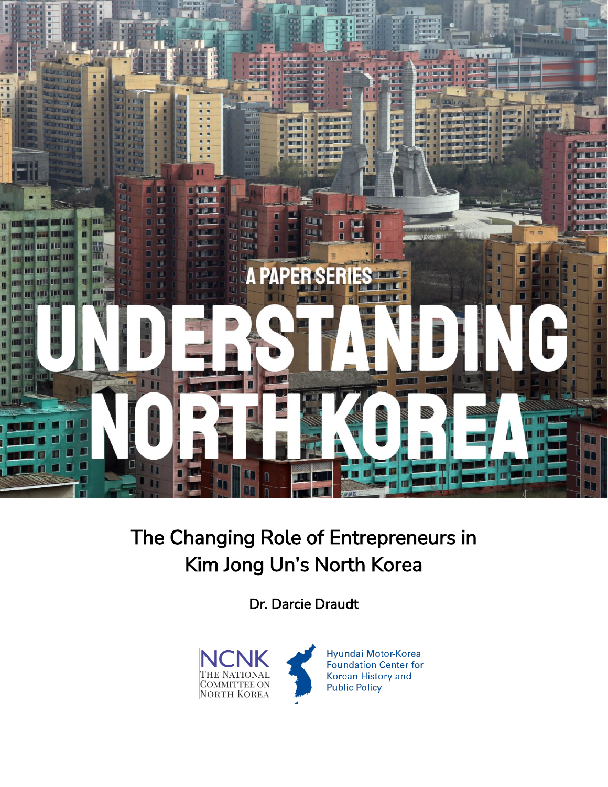

# The Changing Role of Entrepreneurs in Kim Jong Un's North Korea

Dr. Darcie Draudt

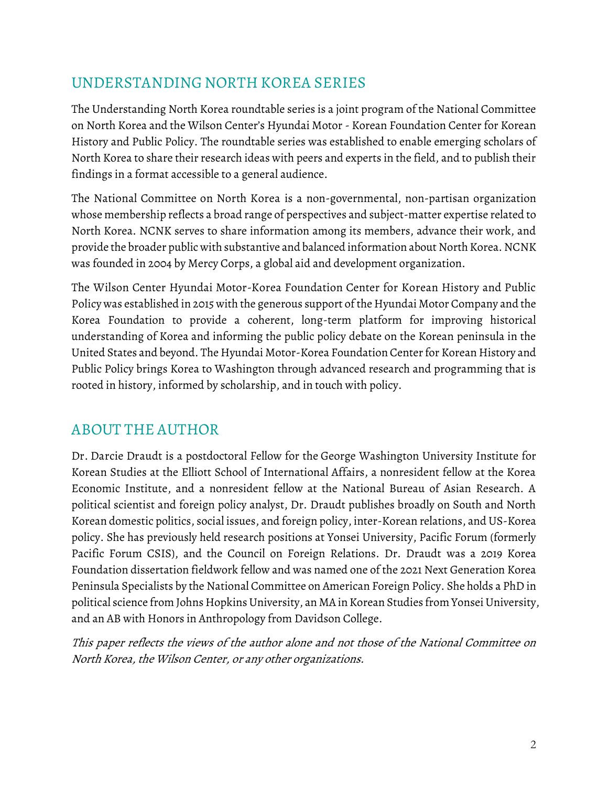## **UNDERSTANDING NORTH KOREA SERIES**

The Understanding North Korea roundtable series is a joint program of the National Committee on North Korea and the Wilson Center's Hyundai Motor - Korean Foundation Center for Korean History and Public Policy. The roundtable series was established to enable emerging scholars of North Korea to share their research ideas with peers and experts in the field, and to publish their findings in a format accessible to a general audience.

The **National Committee on North Korea** is a non-governmental, non-partisan organization whose membership reflects a broad range of perspectives and subject-matter expertise related to North Korea. NCNK serves to share information among its members, advance their work, and provide the broader public with substantive and balanced information about North Korea. NCNK was founded in 2004 by Mercy Corps, a global aid and development organization.

The **Wilson Center Hyundai Motor-Korea Foundation Center for Korean History and Public Policy** was established in 2015 with the generous support of the Hyundai Motor Company and the Korea Foundation to provide a coherent, long-term platform for improving historical understanding of Korea and informing the public policy debate on the Korean peninsula in the United States and beyond. The Hyundai Motor-Korea Foundation Center for Korean History and Public Policy brings Korea to Washington through advanced research and programming that is rooted in history, informed by scholarship, and in touch with policy.

## **ABOUT THE AUTHOR**

**Dr. Darcie Draudt** is a postdoctoral Fellow for the George Washington University Institute for Korean Studies at the Elliott School of International Affairs, a nonresident fellow at the Korea Economic Institute, and a nonresident fellow at the National Bureau of Asian Research. A political scientist and foreign policy analyst, Dr. Draudt publishes broadly on South and North Korean domestic politics, social issues, and foreign policy, inter-Korean relations, and US-Korea policy. She has previously held research positions at Yonsei University, Pacific Forum (formerly Pacific Forum CSIS), and the Council on Foreign Relations. Dr. Draudt was a 2019 Korea Foundation dissertation fieldwork fellow and was named one of the 2021 Next Generation Korea Peninsula Specialists by the National Committee on American Foreign Policy. She holds a PhD in political science from Johns Hopkins University, an MA in Korean Studies from Yonsei University, and an AB with Honors in Anthropology from Davidson College.

This paper reflects the views of the author alone and not those of the National Committee on North Korea, the Wilson Center, or any other organizations.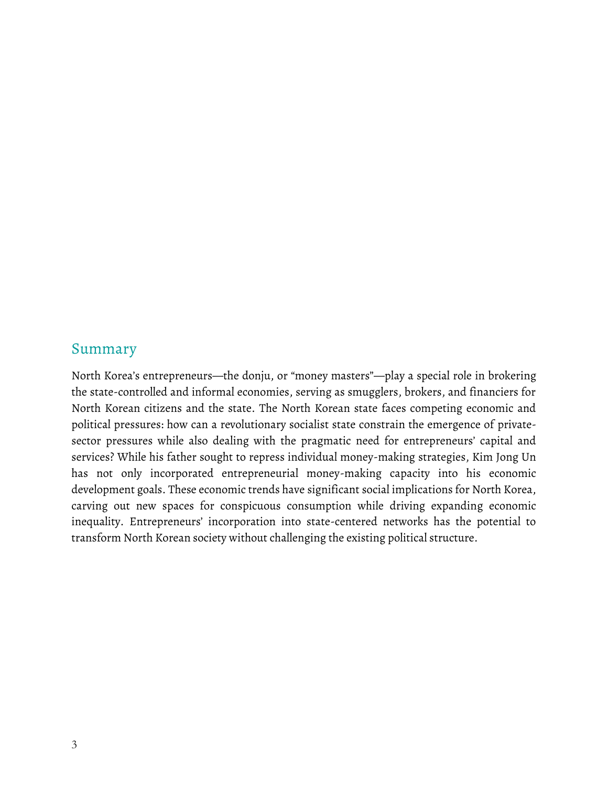#### **Summary**

North Korea's entrepreneurs—the donju, or "money masters"—play a special role in brokering the state-controlled and informal economies, serving as smugglers, brokers, and financiers for North Korean citizens and the state. The North Korean state faces competing economic and political pressures: how can a revolutionary socialist state constrain the emergence of privatesector pressures while also dealing with the pragmatic need for entrepreneurs' capital and services? While his father sought to repress individual money-making strategies, Kim Jong Un has not only incorporated entrepreneurial money-making capacity into his economic development goals. These economic trends have significant social implications for North Korea, carving out new spaces for conspicuous consumption while driving expanding economic inequality. Entrepreneurs' incorporation into state-centered networks has the potential to transform North Korean society without challenging the existing political structure.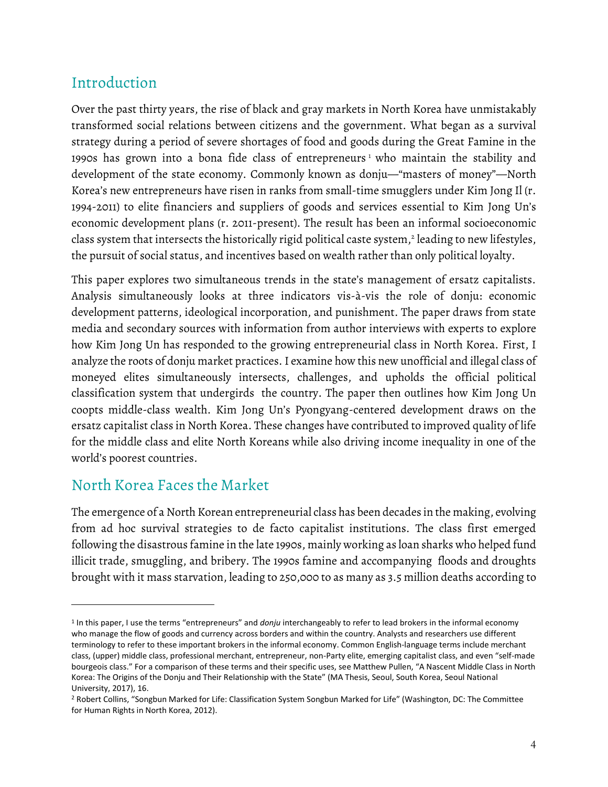## **Introduction**

Over the past thirty years, the rise of black and gray markets in North Korea have unmistakably transformed social relations between citizens and the government. What began as a survival strategy during a period of severe shortages of food and goods during the Great Famine in the 1990s has grown into a bona fide class of entrepreneurs<sup>1</sup> who maintain the stability and development of the state economy. Commonly known as donju—"masters of money"—North Korea's new entrepreneurs have risen in ranks from small-time smugglers under Kim Jong Il (r. 1994-2011) to elite financiers and suppliers of goods and services essential to Kim Jong Un's economic development plans (r. 2011-present). The result has been an informal socioeconomic class system that intersects the historically rigid political caste system, $^2$  leading to new lifestyles, the pursuit of social status, and incentives based on wealth rather than only political loyalty.

This paper explores two simultaneous trends in the state's management of ersatz capitalists. Analysis simultaneously looks at three indicators vis-à-vis the role of donju: economic development patterns, ideological incorporation, and punishment. The paper draws from state media and secondary sources with information from author interviews with experts to explore how Kim Jong Un has responded to the growing entrepreneurial class in North Korea. First, I analyze the roots of donju market practices. I examine how this new unofficial and illegal class of moneyed elites simultaneously intersects, challenges, and upholds the official political classification system that undergirds the country. The paper then outlines how Kim Jong Un coopts middle-class wealth. Kim Jong Un's Pyongyang-centered development draws on the ersatz capitalist class in North Korea. These changes have contributed to improved quality of life for the middle class and elite North Koreans while also driving income inequality in one of the world's poorest countries.

### **North Korea Faces the Market**

The emergence of a North Korean entrepreneurial class has been decades in the making, evolving from ad hoc survival strategies to de facto capitalist institutions. The class first emerged following the disastrous famine in the late 1990s, mainly working as loan sharks who helped fund illicit trade, smuggling, and bribery. The 1990s famine and accompanying floods and droughts brought with it mass starvation, leading to 250,000 to as many as 3.5 million deaths according to

<sup>1</sup> In this paper, I use the terms "entrepreneurs" and *donju* interchangeably to refer to lead brokers in the informal economy who manage the flow of goods and currency across borders and within the country. Analysts and researchers use different terminology to refer to these important brokers in the informal economy. Common English-language terms include merchant class, (upper) middle class, professional merchant, entrepreneur, non-Party elite, emerging capitalist class, and even "self-made bourgeois class." For a comparison of these terms and their specific uses, see Matthew Pullen, "A Nascent Middle Class in North Korea: The Origins of the Donju and Their Relationship with the State" (MA Thesis, Seoul, South Korea, Seoul National University, 2017), 16.

<sup>2</sup> Robert Collins, "Songbun Marked for Life: Classification System Songbun Marked for Life" (Washington, DC: The Committee for Human Rights in North Korea, 2012).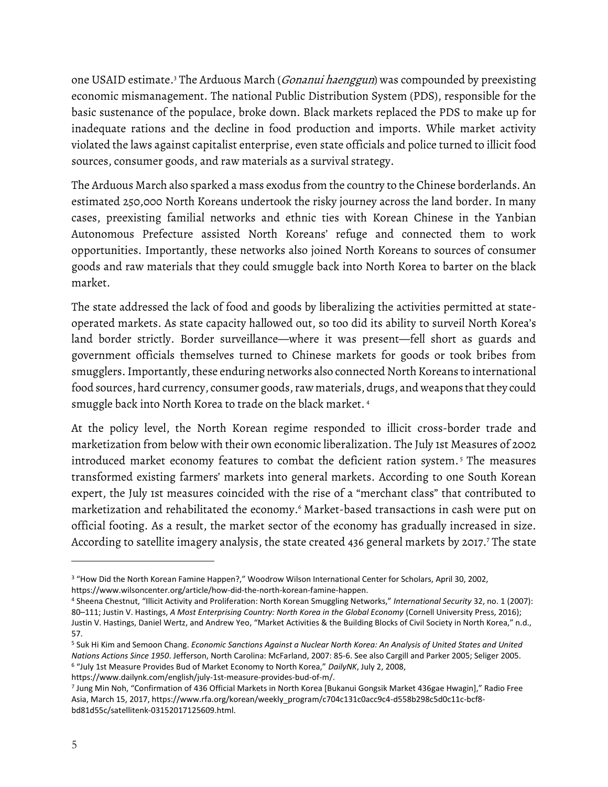one USAID estimate.<sup>3</sup> The Arduous March (*Gonanui haenggun*) was compounded by preexisting economic mismanagement. The national Public Distribution System (PDS), responsible for the basic sustenance of the populace, broke down. Black markets replaced the PDS to make up for inadequate rations and the decline in food production and imports. While market activity violated the laws against capitalist enterprise, even state officials and police turned to illicit food sources, consumer goods, and raw materials as a survival strategy.

The Arduous March also sparked a mass exodus from the country to the Chinese borderlands. An estimated 250,000 North Koreans undertook the risky journey across the land border. In many cases, preexisting familial networks and ethnic ties with Korean Chinese in the Yanbian Autonomous Prefecture assisted North Koreans' refuge and connected them to work opportunities. Importantly, these networks also joined North Koreans to sources of consumer goods and raw materials that they could smuggle back into North Korea to barter on the black market.

The state addressed the lack of food and goods by liberalizing the activities permitted at stateoperated markets. As state capacity hallowed out, so too did its ability to surveil North Korea's land border strictly. Border surveillance—where it was present—fell short as guards and government officials themselves turned to Chinese markets for goods or took bribes from smugglers.Importantly, these enduring networks also connected North Koreans to international food sources, hard currency, consumer goods, raw materials, drugs, and weapons that they could smuggle back into North Korea to trade on the black market. <sup>4</sup>

At the policy level, the North Korean regime responded to illicit cross-border trade and marketization from below with their own economic liberalization. The July 1st Measures of 2002 introduced market economy features to combat the deficient ration system. <sup>5</sup> The measures transformed existing farmers' markets into general markets. According to one South Korean expert, the July 1st measures coincided with the rise of a "merchant class" that contributed to marketization and rehabilitated the economy.<sup>6</sup> Market-based transactions in cash were put on official footing. As a result, the market sector of the economy has gradually increased in size. According to satellite imagery analysis, the state created 436 general markets by 2017. <sup>7</sup> The state

<sup>3</sup> "How Did the North Korean Famine Happen?," Woodrow Wilson International Center for Scholars, April 30, 2002, https://www.wilsoncenter.org/article/how-did-the-north-korean-famine-happen.

<sup>4</sup> Sheena Chestnut, "Illicit Activity and Proliferation: North Korean Smuggling Networks," *International Security* 32, no. 1 (2007): 80–111; Justin V. Hastings, *A Most Enterprising Country: North Korea in the Global Economy* (Cornell University Press, 2016); Justin V. Hastings, Daniel Wertz, and Andrew Yeo, "Market Activities & the Building Blocks of Civil Society in North Korea," n.d., 57.

<sup>5</sup> Suk Hi Kim and Semoon Chang. *Economic Sanctions Against a Nuclear North Korea: An Analysis of United States and United Nations Actions Since 1950*. Jefferson, North Carolina: McFarland, 2007: 85-6. See also Cargill and Parker 2005; Seliger 2005. <sup>6</sup> "July 1st Measure Provides Bud of Market Economy to North Korea," *DailyNK*, July 2, 2008,

https://www.dailynk.com/english/july-1st-measure-provides-bud-of-m/.

<sup>7</sup> Jung Min Noh, "Confirmation of 436 Official Markets in North Korea [Bukanui Gongsik Market 436gae Hwagin]," Radio Free Asia, March 15, 2017, https://www.rfa.org/korean/weekly\_program/c704c131c0acc9c4-d558b298c5d0c11c-bcf8 bd81d55c/satellitenk-03152017125609.html.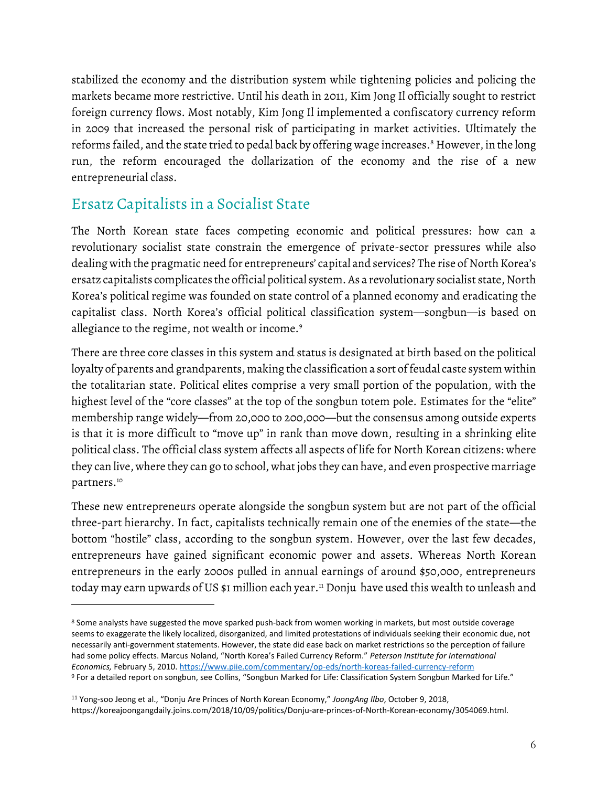stabilized the economy and the distribution system while tightening policies and policing the markets became more restrictive. Until his death in 2011, Kim Jong Il officially sought to restrict foreign currency flows. Most notably, Kim Jong Il implemented a confiscatory currency reform in 2009 that increased the personal risk of participating in market activities. Ultimately the reforms failed, and the state tried to pedal back by offering wage increases. <sup>8</sup> However, in the long run, the reform encouraged the dollarization of the economy and the rise of a new entrepreneurial class.

## **Ersatz Capitalists in a Socialist State**

The North Korean state faces competing economic and political pressures: how can a revolutionary socialist state constrain the emergence of private-sector pressures while also dealing with the pragmatic need for entrepreneurs' capital and services? The rise of North Korea's ersatz capitalists complicates the official political system. As a revolutionary socialist state, North Korea's political regime was founded on state control of a planned economy and eradicating the capitalist class. North Korea's official political classification system—songbun—is based on allegiance to the regime, not wealth or income.<sup>9</sup>

There are three core classes in this system and status is designated at birth based on the political loyalty of parents and grandparents, making the classification a sort of feudal caste system within the totalitarian state. Political elites comprise a very small portion of the population, with the highest level of the "core classes" at the top of the songbun totem pole. Estimates for the "elite" membership range widely—from 20,000 to 200,000—but the consensus among outside experts is that it is more difficult to "move up" in rank than move down, resulting in a shrinking elite political class. The official class system affects all aspects of life for North Korean citizens: where they can live, where they can go to school, what jobs they can have, and even prospective marriage partners.<sup>10</sup>

These new entrepreneurs operate alongside the songbun system but are not part of the official three-part hierarchy. In fact, capitalists technically remain one of the enemies of the state—the bottom "hostile" class, according to the songbun system. However, over the last few decades, entrepreneurs have gained significant economic power and assets. Whereas North Korean entrepreneurs in the early 2000s pulled in annual earnings of around \$50,000, entrepreneurs today may earn upwards of US \$1 million each year.<sup>11</sup> Donju have used this wealth to unleash and

<sup>&</sup>lt;sup>8</sup> Some analysts have suggested the move sparked push-back from women working in markets, but most outside coverage seems to exaggerate the likely localized, disorganized, and limited protestations of individuals seeking their economic due, not necessarily anti-government statements. However, the state did ease back on market restrictions so the perception of failure had some policy effects. Marcus Noland, "North Korea's Failed Currency Reform." *Peterson Institute for International Economics,* February 5, 2010.<https://www.piie.com/commentary/op-eds/north-koreas-failed-currency-reform> <sup>9</sup> For a detailed report on songbun, see Collins, "Songbun Marked for Life: Classification System Songbun Marked for Life."

<sup>11</sup> Yong-soo Jeong et al., "Donju Are Princes of North Korean Economy," *JoongAng Ilbo*, October 9, 2018, https://koreajoongangdaily.joins.com/2018/10/09/politics/Donju-are-princes-of-North-Korean-economy/3054069.html.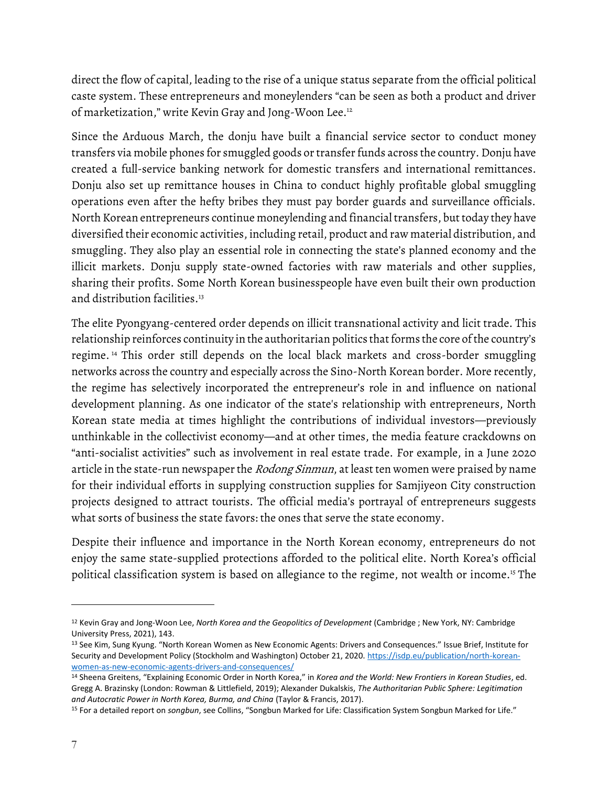direct the flow of capital, leading to the rise of a unique status separate from the official political caste system. These entrepreneurs and moneylenders "can be seen as both a product and driver of marketization," write Kevin Gray and Jong-Woon Lee.<sup>12</sup>

Since the Arduous March, the donju have built a financial service sector to conduct money transfers via mobile phones for smuggled goods or transfer funds across the country. Donju have created a full-service banking network for domestic transfers and international remittances. Donju also set up remittance houses in China to conduct highly profitable global smuggling operations even after the hefty bribes they must pay border guards and surveillance officials. North Korean entrepreneurs continue moneylending and financial transfers, but today they have diversified their economic activities, including retail, product and raw material distribution, and smuggling. They also play an essential role in connecting the state's planned economy and the illicit markets. Donju supply state-owned factories with raw materials and other supplies, sharing their profits. Some North Korean businesspeople have even built their own production and distribution facilities.<sup>13</sup>

The elite Pyongyang-centered order depends on illicit transnational activity and licit trade. This relationship reinforces continuity in the authoritarian politics that forms the core of the country's regime. <sup>14</sup> This order still depends on the local black markets and cross-border smuggling networks across the country and especially across the Sino-North Korean border. More recently, the regime has selectively incorporated the entrepreneur's role in and influence on national development planning. As one indicator of the state's relationship with entrepreneurs, North Korean state media at times highlight the contributions of individual investors—previously unthinkable in the collectivist economy—and at other times, the media feature crackdowns on "anti-socialist activities" such as involvement in real estate trade. For example, in a June 2020 article in the state-run newspaper the *Rodong Sinmun*, at least ten women were praised by name for their individual efforts in supplying construction supplies for Samjiyeon City construction projects designed to attract tourists. The official media's portrayal of entrepreneurs suggests what sorts of business the state favors: the ones that serve the state economy.

Despite their influence and importance in the North Korean economy, entrepreneurs do not enjoy the same state-supplied protections afforded to the political elite. North Korea's official political classification system is based on allegiance to the regime, not wealth or income.<sup>15</sup> The

<sup>12</sup> Kevin Gray and Jong-Woon Lee, *North Korea and the Geopolitics of Development* (Cambridge ; New York, NY: Cambridge University Press, 2021), 143.

<sup>13</sup> See Kim, Sung Kyung. "North Korean Women as New Economic Agents: Drivers and Consequences." Issue Brief, Institute for Security and Development Policy (Stockholm and Washington) October 21, 2020. [https://isdp.eu/publication/north-korean](https://isdp.eu/publication/north-korean-women-as-new-economic-agents-drivers-and-consequences/)[women-as-new-economic-agents-drivers-and-consequences/](https://isdp.eu/publication/north-korean-women-as-new-economic-agents-drivers-and-consequences/)

<sup>14</sup> Sheena Greitens, "Explaining Economic Order in North Korea," in *Korea and the World: New Frontiers in Korean Studies*, ed. Gregg A. Brazinsky (London: Rowman & Littlefield, 2019); Alexander Dukalskis, *The Authoritarian Public Sphere: Legitimation and Autocratic Power in North Korea, Burma, and China* (Taylor & Francis, 2017).

<sup>15</sup> For a detailed report on *songbun*, see Collins, "Songbun Marked for Life: Classification System Songbun Marked for Life."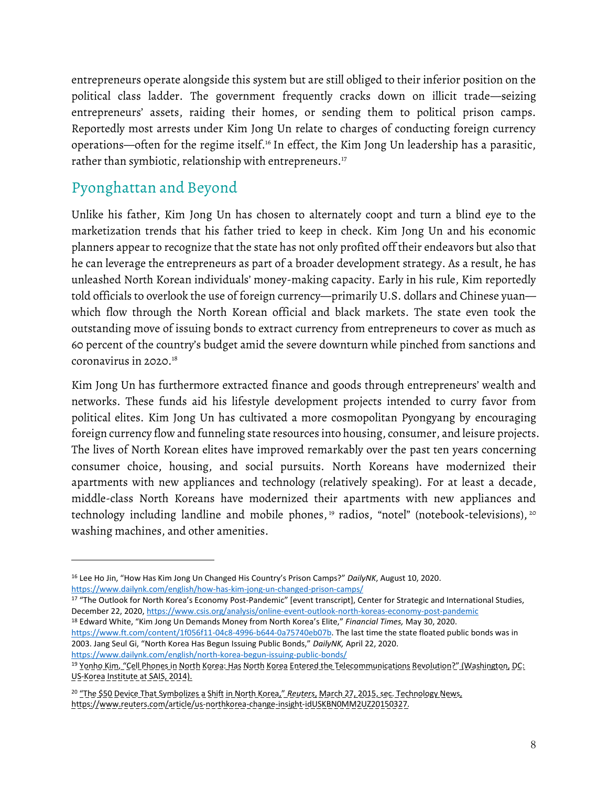entrepreneurs operate alongside this system but are still obliged to their inferior position on the political class ladder. The government frequently cracks down on illicit trade—seizing entrepreneurs' assets, raiding their homes, or sending them to political prison camps. Reportedly most arrests under Kim Jong Un relate to charges of conducting foreign currency operations—often for the regime itself.<sup>16</sup> In effect, the Kim Jong Un leadership has a parasitic, rather than symbiotic, relationship with entrepreneurs.<sup>17</sup>

## **Pyonghattan and Beyond**

Unlike his father, Kim Jong Un has chosen to alternately coopt and turn a blind eye to the marketization trends that his father tried to keep in check. Kim Jong Un and his economic planners appear to recognize that the state has not only profited off their endeavors but also that he can leverage the entrepreneurs as part of a broader development strategy. As a result, he has unleashed North Korean individuals' money-making capacity. Early in his rule, Kim reportedly told officials to overlook the use of foreign currency—primarily U.S. dollars and Chinese yuan which flow through the North Korean official and black markets. The state even took the outstanding move of issuing bonds to extract currency from entrepreneurs to cover as much as 60 percent of the country's budget amid the severe downturn while pinched from sanctions and coronavirus in 2020.<sup>18</sup>

Kim Jong Un has furthermore extracted finance and goods through entrepreneurs' wealth and networks. These funds aid his lifestyle development projects intended to curry favor from political elites. Kim Jong Un has cultivated a more cosmopolitan Pyongyang by encouraging foreign currency flow and funneling state resources into housing, consumer, and leisure projects. The lives of North Korean elites have improved remarkably over the past ten years concerning consumer choice, housing, and social pursuits. North Koreans have modernized their apartments with new appliances and technology (relatively speaking). For at least a decade, middle-class North Koreans have modernized their apartments with new appliances and technology including landline and mobile phones,<sup>19</sup> radios, "notel" (notebook-televisions),<sup>20</sup> washing machines, and other amenities.

17 "The Outlook for North Korea's Economy Post-Pandemic" [event transcript], Center for Strategic and International Studies, December 22, 2020,<https://www.csis.org/analysis/online-event-outlook-north-koreas-economy-post-pandemic> <sup>18</sup> Edward White, "Kim Jong Un Demands Money from North Korea's Elite," *Financial Times,* May 30, 2020.

[https://www.ft.com/content/1f056f11-04c8-4996-b644-0a75740eb07b.](https://www.ft.com/content/1f056f11-04c8-4996-b644-0a75740eb07b) The last time the state floated public bonds was in 2003. Jang Seul Gi, "North Korea Has Begun Issuing Public Bonds," *DailyNK,* April 22, 2020. <https://www.dailynk.com/english/north-korea-begun-issuing-public-bonds/>

<sup>16</sup> Lee Ho Jin, "How Has Kim Jong Un Changed His Country's Prison Camps?" *DailyNK*, August 10, 2020. <https://www.dailynk.com/english/how-has-kim-jong-un-changed-prison-camps/>

<sup>19</sup> Yonho Kim, "Cell Phones in North Korea: Has North Korea Entered the Telecommunications Revolution?" (Washington, DC: US-Korea Institute at SAIS, 2014).

<sup>20</sup> "The \$50 Device That Symbolizes a Shift in North Korea," *Reuters*, March 27, 2015, sec. Technology News, https://www.reuters.com/article/us-northkorea-change-insight-idUSKBN0MM2UZ20150327.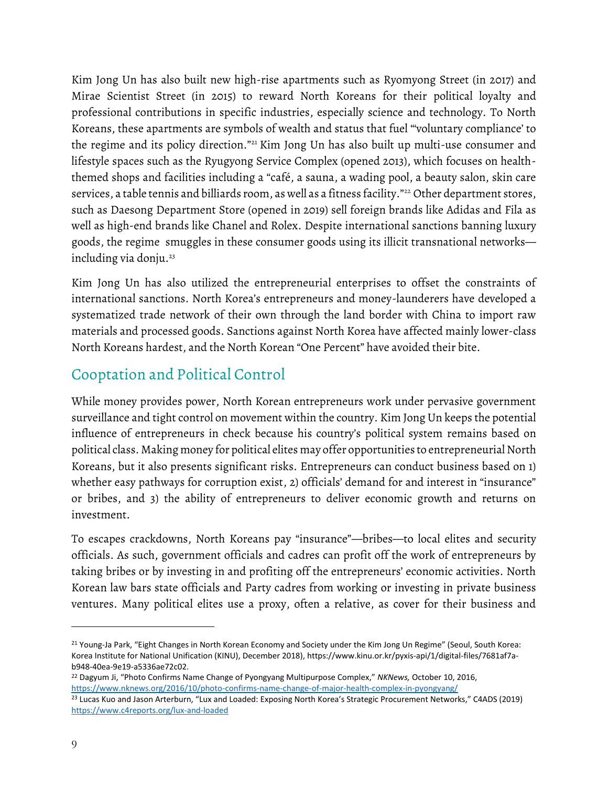Kim Jong Un has also built new high-rise apartments such as Ryomyong Street (in 2017) and Mirae Scientist Street (in 2015) to reward North Koreans for their political loyalty and professional contributions in specific industries, especially science and technology. To North Koreans, these apartments are symbols of wealth and status that fuel "'voluntary compliance' to the regime and its policy direction."<sup>21</sup> Kim Jong Un has also built up multi-use consumer and lifestyle spaces such as the Ryugyong Service Complex (opened 2013), which focuses on healththemed shops and facilities including a "café, a sauna, a wading pool, a beauty salon, skin care services, a table tennis and billiards room, as well as a fitness facility."<sup>22</sup> Other department stores, such as Daesong Department Store (opened in 2019) sell foreign brands like Adidas and Fila as well as high-end brands like Chanel and Rolex. Despite international sanctions banning luxury goods, the regime smuggles in these consumer goods using its illicit transnational networks including via donju. 23

Kim Jong Un has also utilized the entrepreneurial enterprises to offset the constraints of international sanctions. North Korea's entrepreneurs and money-launderers have developed a systematized trade network of their own through the land border with China to import raw materials and processed goods. Sanctions against North Korea have affected mainly lower-class North Koreans hardest, and the North Korean "One Percent" have avoided their bite.

## **Cooptation and Political Control**

While money provides power, North Korean entrepreneurs work under pervasive government surveillance and tight control on movement within the country. Kim Jong Un keeps the potential influence of entrepreneurs in check because his country's political system remains based on political class. Making money for political elites may offer opportunities to entrepreneurial North Koreans, but it also presents significant risks. Entrepreneurs can conduct business based on 1) whether easy pathways for corruption exist, 2) officials' demand for and interest in "insurance" or bribes, and 3) the ability of entrepreneurs to deliver economic growth and returns on investment.

To escapes crackdowns, North Koreans pay "insurance"—bribes—to local elites and security officials. As such, government officials and cadres can profit off the work of entrepreneurs by taking bribes or by investing in and profiting off the entrepreneurs' economic activities. North Korean law bars state officials and Party cadres from working or investing in private business ventures. Many political elites use a proxy, often a relative, as cover for their business and

<sup>&</sup>lt;sup>21</sup> Young-Ja Park, "Eight Changes in North Korean Economy and Society under the Kim Jong Un Regime" (Seoul, South Korea: Korea Institute for National Unification (KINU), December 2018), https://www.kinu.or.kr/pyxis-api/1/digital-files/7681af7ab948-40ea-9e19-a5336ae72c02.

<sup>22</sup> Dagyum Ji, "Photo Confirms Name Change of Pyongyang Multipurpose Complex," *NKNews,* October 10, 2016, <https://www.nknews.org/2016/10/photo-confirms-name-change-of-major-health-complex-in-pyongyang/>

<sup>&</sup>lt;sup>23</sup> Lucas Kuo and Jason Arterburn, "Lux and Loaded: Exposing North Korea's Strategic Procurement Networks," C4ADS (2019) <https://www.c4reports.org/lux-and-loaded>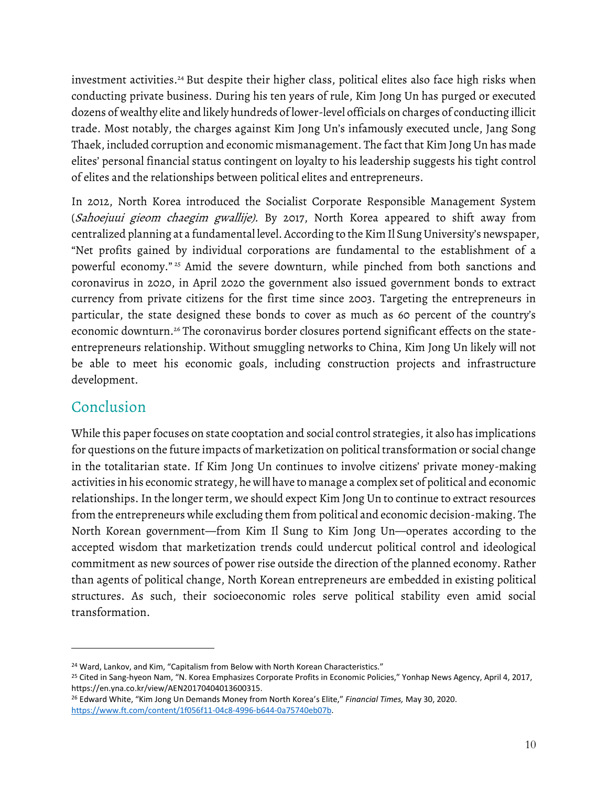investment activities.<sup>24</sup> But despite their higher class, political elites also face high risks when conducting private business. During his ten years of rule, Kim Jong Un has purged or executed dozens of wealthy elite and likely hundreds of lower-level officials on charges of conducting illicit trade. Most notably, the charges against Kim Jong Un's infamously executed uncle, Jang Song Thaek, included corruption and economic mismanagement. The fact that Kim Jong Un has made elites' personal financial status contingent on loyalty to his leadership suggests his tight control of elites and the relationships between political elites and entrepreneurs.

In 2012, North Korea introduced the Socialist Corporate Responsible Management System (Sahoejuui gieom chaegim gwallije). By 2017, North Korea appeared to shift away from centralized planning at a fundamental level. According to the Kim Il Sung University's newspaper, "Net profits gained by individual corporations are fundamental to the establishment of a powerful economy." <sup>25</sup> Amid the severe downturn, while pinched from both sanctions and coronavirus in 2020, in April 2020 the government also issued government bonds to extract currency from private citizens for the first time since 2003. Targeting the entrepreneurs in particular, the state designed these bonds to cover as much as 60 percent of the country's economic downturn.<sup>26</sup> The coronavirus border closures portend significant effects on the stateentrepreneurs relationship. Without smuggling networks to China, Kim Jong Un likely will not be able to meet his economic goals, including construction projects and infrastructure development.

### **Conclusion**

While this paper focuses on state cooptation and social control strategies, it also has implications for questions on the future impacts of marketization on political transformation or social change in the totalitarian state. If Kim Jong Un continues to involve citizens' private money-making activities in his economic strategy, he will have to manage a complex set of political and economic relationships. In the longer term, we should expect Kim Jong Un to continue to extract resources from the entrepreneurs while excluding them from political and economic decision-making. The North Korean government—from Kim Il Sung to Kim Jong Un—operates according to the accepted wisdom that marketization trends could undercut political control and ideological commitment as new sources of power rise outside the direction of the planned economy. Rather than agents of political change, North Korean entrepreneurs are embedded in existing political structures. As such, their socioeconomic roles serve political stability even amid social transformation.

<sup>&</sup>lt;sup>24</sup> Ward, Lankov, and Kim, "Capitalism from Below with North Korean Characteristics."

<sup>&</sup>lt;sup>25</sup> Cited in Sang-hyeon Nam, "N. Korea Emphasizes Corporate Profits in Economic Policies," Yonhap News Agency, April 4, 2017, https://en.yna.co.kr/view/AEN20170404013600315.

<sup>26</sup> Edward White, "Kim Jong Un Demands Money from North Korea's Elite," *Financial Times,* May 30, 2020. [https://www.ft.com/content/1f056f11-04c8-4996-b644-0a75740eb07b.](https://www.ft.com/content/1f056f11-04c8-4996-b644-0a75740eb07b)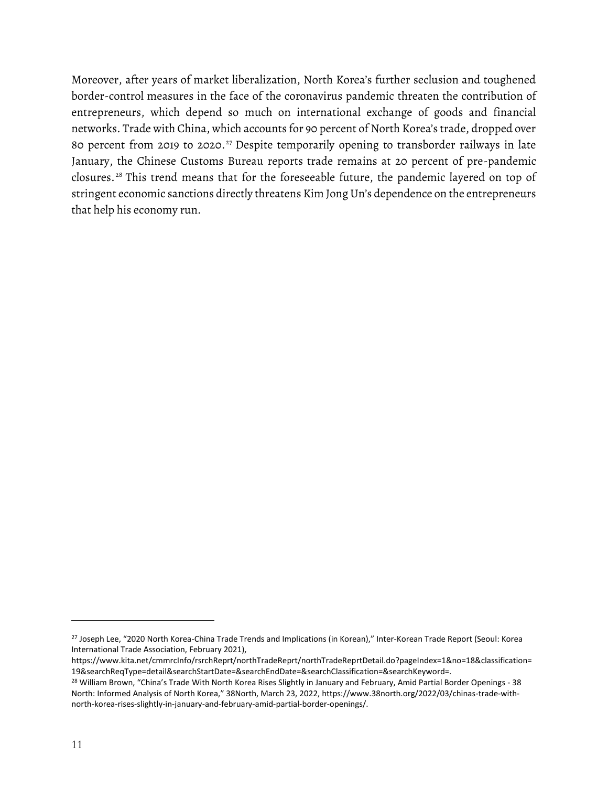Moreover, after years of market liberalization, North Korea's further seclusion and toughened border-control measures in the face of the coronavirus pandemic threaten the contribution of entrepreneurs, which depend so much on international exchange of goods and financial networks. Trade with China, which accounts for 90 percent of North Korea's trade, dropped over 80 percent from 2019 to 2020. <sup>27</sup> Despite temporarily opening to transborder railways in late January, the Chinese Customs Bureau reports trade remains at 20 percent of pre-pandemic closures. <sup>28</sup> This trend means that for the foreseeable future, the pandemic layered on top of stringent economic sanctions directly threatens Kim Jong Un's dependence on the entrepreneurs that help his economy run.

<sup>&</sup>lt;sup>27</sup> Joseph Lee, "2020 North Korea-China Trade Trends and Implications (in Korean)," Inter-Korean Trade Report (Seoul: Korea International Trade Association, February 2021),

https://www.kita.net/cmmrcInfo/rsrchReprt/northTradeReprt/northTradeReprtDetail.do?pageIndex=1&no=18&classification= 19&searchReqType=detail&searchStartDate=&searchEndDate=&searchClassification=&searchKeyword=.

<sup>&</sup>lt;sup>28</sup> William Brown, "China's Trade With North Korea Rises Slightly in January and February, Amid Partial Border Openings - 38 North: Informed Analysis of North Korea," 38North, March 23, 2022, https://www.38north.org/2022/03/chinas-trade-withnorth-korea-rises-slightly-in-january-and-february-amid-partial-border-openings/.